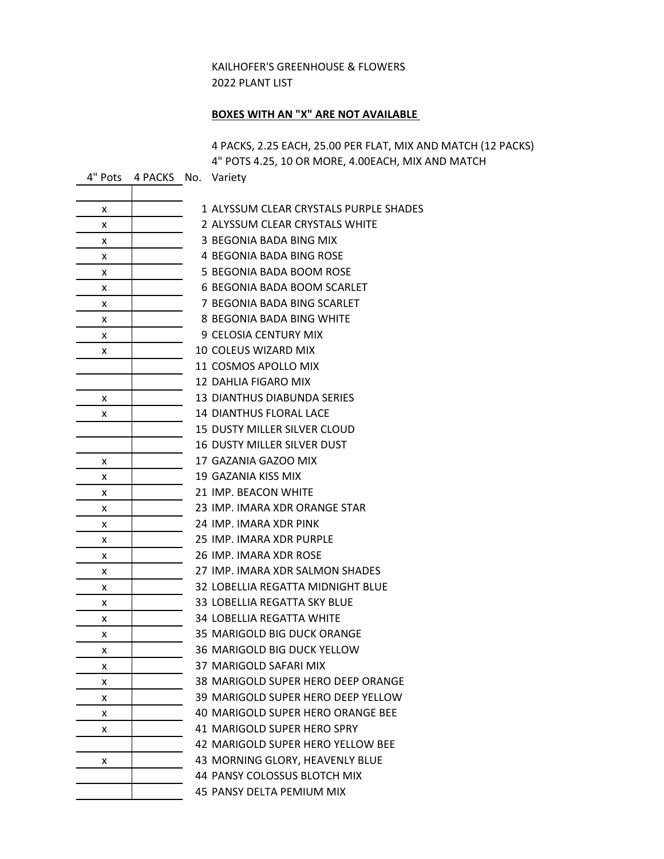## KAILHOFER'S GREENHOUSE & FLOWERS 2022 PLANT LIST

## **BOXES WITH AN "X" ARE NOT AVAILABLE**

4 PACKS, 2.25 EACH, 25.00 PER FLAT, MIX AND MATCH (12 PACKS) 4" POTS 4.25, 10 OR MORE, 4.00EACH, MIX AND MATCH

4" Pots 4 PACKS No. Variety x | 1 ALYSSUM CLEAR CRYSTALS PURPLE SHADES x 2 ALYSSUM CLEAR CRYSTALS WHITE x 3 BEGONIA BADA BING MIX x 4 BEGONIA BADA BING ROSE x 5 BEGONIA BADA BOOM ROSE x 6 BEGONIA BADA BOOM SCARLET x 7 BEGONIA BADA BING SCARLET x | 8 BEGONIA BADA BING WHITE x 9 CELOSIA CENTURY MIX x 10 COLEUS WIZARD MIX 11 COSMOS APOLLO MIX 12 DAHLIA FIGARO MIX x 13 DIANTHUS DIABUNDA SERIES x 14 DIANTHUS FLORAL LACE 15 DUSTY MILLER SILVER CLOUD 16 DUSTY MILLER SILVER DUST x 17 GAZANIA GAZOO MIX x 19 GAZANIA KISS MIX x 21 IMP. BEACON WHITE x 23 IMP. IMARA XDR ORANGE STAR x 24 IMP. IMARA XDR PINK x 25 IMP. IMARA XDR PURPLE x 26 IMP. IMARA XDR ROSE x 27 IMP. IMARA XDR SALMON SHADES x 32 LOBELLIA REGATTA MIDNIGHT BLUE x 33 LOBELLIA REGATTA SKY BLUE x 34 LOBELLIA REGATTA WHITE x 35 MARIGOLD BIG DUCK ORANGE x 36 MARIGOLD BIG DUCK YELLOW x 37 MARIGOLD SAFARI MIX x 38 MARIGOLD SUPER HERO DEEP ORANGE x 39 MARIGOLD SUPER HERO DEEP YELLOW x 40 MARIGOLD SUPER HERO ORANGE BEE x 41 MARIGOLD SUPER HERO SPRY 42 MARIGOLD SUPER HERO YELLOW BEE x 43 MORNING GLORY, HEAVENLY BLUE 44 PANSY COLOSSUS BLOTCH MIX 45 PANSY DELTA PEMIUM MIX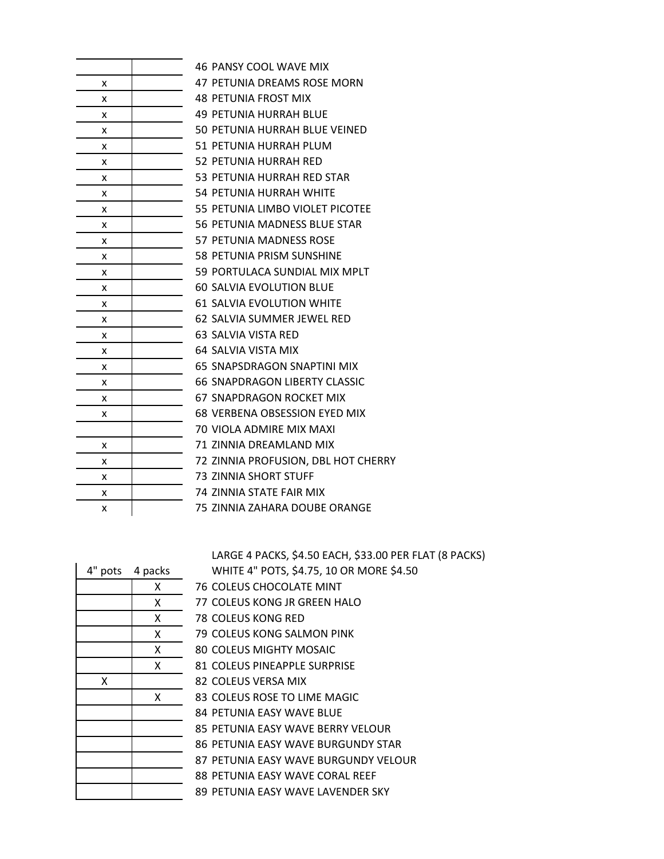| $\overline{\mathsf{x}}$ |  |
|-------------------------|--|
| X                       |  |
| X                       |  |
| X                       |  |
| X                       |  |
| X                       |  |
| $\mathsf{x}$            |  |
| X                       |  |
| X                       |  |
| X                       |  |
| X                       |  |
| X                       |  |
| X                       |  |
| $\times$                |  |
| X                       |  |
| X                       |  |
| X                       |  |
| $\overline{\mathsf{x}}$ |  |
| X                       |  |
| X                       |  |
| X                       |  |
| X                       |  |
|                         |  |
| X                       |  |
| X                       |  |
| X                       |  |
| X                       |  |
| X                       |  |
|                         |  |

46 PANSY COOL WAVE MIX 47 PETUNIA DREAMS ROSE MORN x 48 PETUNIA FROST MIX 49 PETUNIA HURRAH BLUE 50 PETUNIA HURRAH BLUE VEINED 51 PETUNIA HURRAH PLUM 52 PETUNIA HURRAH RED 53 PETUNIA HURRAH RED STAR **54 PETUNIA HURRAH WHITE** 55 PETUNIA LIMBO VIOLET PICOTEE 56 PETUNIA MADNESS BLUE STAR 57 PETUNIA MADNESS ROSE 58 PETUNIA PRISM SUNSHINE 59 PORTULACA SUNDIAL MIX MPLT **60 SALVIA EVOLUTION BLUE 61 SALVIA EVOLUTION WHITE** x 62 SALVIA SUMMER JEWEL RED x 63 SALVIA VISTA RED x 64 SALVIA VISTA MIX x 65 SNAPSDRAGON SNAPTINI MIX **66 SNAPDRAGON LIBERTY CLASSIC** x 67 SNAPDRAGON ROCKET MIX x 68 VERBENA OBSESSION EYED MIX 70 VIOLA ADMIRE MIX MAXI x 71 ZINNIA DREAMLAND MIX x 72 ZINNIA PROFUSION, DBL HOT CHERRY x 73 ZINNIA SHORT STUFF x 74 ZINNIA STATE FAIR MIX 75 ZINNIA ZAHARA DOUBE ORANGE

LARGE 4 PACKS, \$4.50 EACH, \$33.00 PER FLAT (8 PACKS)

| 4" pots | 4 packs                 |
|---------|-------------------------|
|         | X                       |
|         | X                       |
|         | X                       |
|         | $\overline{X}$          |
|         | $\overline{\mathsf{X}}$ |
|         | $\overline{\mathsf{x}}$ |
| X       |                         |
|         | Χ                       |
|         |                         |
|         |                         |
|         |                         |
|         |                         |
|         |                         |
|         |                         |

WHITE 4" POTS, \$4.75, 10 OR MORE \$4.50 **76 COLEUS CHOCOLATE MINT** 77 COLEUS KONG JR GREEN HALO 78 COLEUS KONG RED **79 COLEUS KONG SALMON PINK 80 COLEUS MIGHTY MOSAIC** 81 COLEUS PINEAPPLE SURPRISE 82 COLEUS VERSA MIX 83 COLEUS ROSE TO LIME MAGIC 84 PETUNIA EASY WAVE BLUE 85 PETUNIA EASY WAVE BERRY VELOUR 86 PETUNIA EASY WAVE BURGUNDY STAR 87 PETUNIA EASY WAVE BURGUNDY VELOUR 88 PETUNIA EASY WAVE CORAL REEF 89 PETUNIA EASY WAVE LAVENDER SKY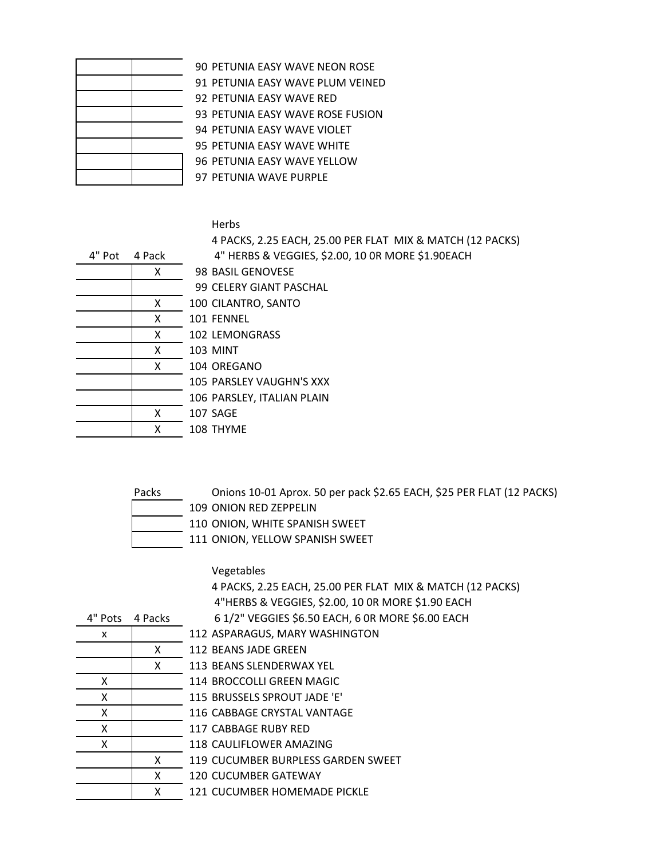PETUNIA EASY WAVE NEON ROSE PETUNIA EASY WAVE PLUM VEINED PETUNIA EASY WAVE RED PETUNIA EASY WAVE ROSE FUSION PETUNIA EASY WAVE VIOLET PETUNIA EASY WAVE WHITE PETUNIA EASY WAVE YELLOW PETUNIA WAVE PURPLE

## Herbs

4 PACKS, 2.25 EACH, 25.00 PER FLAT MIX & MATCH (12 PACKS)

| 4" Pot | 4 Pack |                      |
|--------|--------|----------------------|
|        | Χ      | $\ddot{\cdot}$       |
|        |        | $\ddot{\phantom{0}}$ |
|        | Χ      | $\mathbf{1}$         |
|        | X      | 1(                   |
|        | X      | $\mathbf{1}$         |
|        | X      | 1(                   |
|        | X      | 1(                   |
|        |        | $\mathbf{1}$         |
|        |        | 1(                   |
|        | X      | 1(                   |
|        | X      | 1(                   |
|        |        |                      |

4" HERBS & VEGGIES, \$2.00, 10 OR MORE \$1.90EACH

- 98 BASIL GENOVESE
- 99 CELERY GIANT PASCHAL

00 CILANTRO, SANTO

01 FENNEL 02 LEMONGRASS

03 MINT

04 OREGANO

105 PARSLEY VAUGHN'S XXX

106 PARSLEY, ITALIAN PLAIN

- 07 SAGE
- 08 THYME

| ٠<br>I |  |
|--------|--|
|        |  |

Onions 10-01 Aprox. 50 per pack \$2.65 EACH, \$25 PER FLAT (12 PACKS) 109 ONION RED ZEPPELIN

110 ONION, WHITE SPANISH SWEET

111 ONION, YELLOW SPANISH SWEET

## Vegetables

4 PACKS, 2.25 EACH, 25.00 PER FLAT MIX & MATCH (12 PACKS) 4"HERBS & VEGGIES, \$2.00, 10 0R MORE \$1.90 EACH

| 6 1/2" VEGGIES \$6.50 EACH, 6 OR MORE \$6.00 EACH<br>4" Pots 4 Packs |
|----------------------------------------------------------------------|
|----------------------------------------------------------------------|

112 ASPARAGUS, MARY WASHINGTON

| x                       |                         |
|-------------------------|-------------------------|
|                         | X                       |
|                         | $\overline{\mathsf{x}}$ |
| $\overline{\mathsf{X}}$ |                         |
| $\overline{\mathsf{x}}$ |                         |
| X                       |                         |
| $\overline{\mathsf{X}}$ |                         |
| X                       |                         |
|                         | X                       |
|                         | $\overline{\mathsf{x}}$ |
|                         | $\overline{\mathsf{x}}$ |

- 112 BEANS JADE GREEN
- 113 BEANS SLENDERWAX YEL
- 114 BROCCOLLI GREEN MAGIC
- 115 BRUSSELS SPROUT JADE 'E'
- 116 CABBAGE CRYSTAL VANTAGE
- 117 CABBAGE RUBY RED
- 118 CAULIFLOWER AMAZING
- 119 CUCUMBER BURPLESS GARDEN SWEET
- 120 CUCUMBER GATEWAY

121 CUCUMBER HOMEMADE PICKLE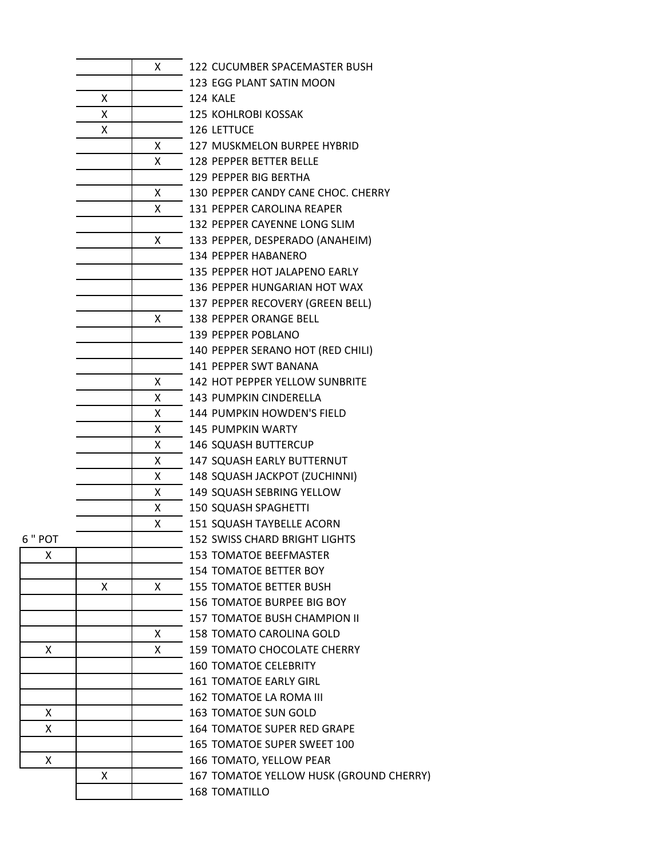|         |   | x            | 122 CUCUMBER SPACEMASTER BUSH           |
|---------|---|--------------|-----------------------------------------|
|         |   |              | 123 EGG PLANT SATIN MOON                |
|         | X |              | 124 KALE                                |
|         | X |              | <b>125 KOHLROBI KOSSAK</b>              |
|         | X |              | 126 LETTUCE                             |
|         |   | X            | 127 MUSKMELON BURPEE HYBRID             |
|         |   | X            | 128 PEPPER BETTER BELLE                 |
|         |   |              | 129 PEPPER BIG BERTHA                   |
|         |   | X.           | 130 PEPPER CANDY CANE CHOC. CHERRY      |
|         |   | X.           | 131 PEPPER CAROLINA REAPER              |
|         |   |              | 132 PEPPER CAYENNE LONG SLIM            |
|         |   | X            | 133 PEPPER, DESPERADO (ANAHEIM)         |
|         |   |              | 134 PEPPER HABANERO                     |
|         |   |              | 135 PEPPER HOT JALAPENO EARLY           |
|         |   |              | 136 PEPPER HUNGARIAN HOT WAX            |
|         |   |              | 137 PEPPER RECOVERY (GREEN BELL)        |
|         |   | X.           | <b>138 PEPPER ORANGE BELL</b>           |
|         |   |              | 139 PEPPER POBLANO                      |
|         |   |              | 140 PEPPER SERANO HOT (RED CHILI)       |
|         |   |              | 141 PEPPER SWT BANANA                   |
|         |   |              | X 142 HOT PEPPER YELLOW SUNBRITE        |
|         |   | X.           | 143 PUMPKIN CINDERELLA                  |
|         |   | $\mathsf{X}$ | 144 PUMPKIN HOWDEN'S FIELD              |
|         |   | X.           | 145 PUMPKIN WARTY                       |
|         |   | X.           | <b>146 SQUASH BUTTERCUP</b>             |
|         |   | X.           | 147 SQUASH EARLY BUTTERNUT              |
|         |   | X.           | 148 SQUASH JACKPOT (ZUCHINNI)           |
|         |   | X.           | 149 SQUASH SEBRING YELLOW               |
|         |   | X.           | <b>150 SQUASH SPAGHETTI</b>             |
|         |   | X.           | 151 SQUASH TAYBELLE ACORN               |
| 6 " POT |   |              | <b>152 SWISS CHARD BRIGHT LIGHTS</b>    |
| X       |   |              | <b>153 TOMATOE BEEFMASTER</b>           |
|         |   |              | <b>154 TOMATOE BETTER BOY</b>           |
|         | X | Χ            | <b>155 TOMATOE BETTER BUSH</b>          |
|         |   |              | 156 TOMATOE BURPEE BIG BOY              |
|         |   |              | 157 TOMATOE BUSH CHAMPION II            |
|         |   | X            | 158 TOMATO CAROLINA GOLD                |
| x       |   | X            | 159 TOMATO CHOCOLATE CHERRY             |
|         |   |              | <b>160 TOMATOE CELEBRITY</b>            |
|         |   |              | <b>161 TOMATOE EARLY GIRL</b>           |
|         |   |              | 162 TOMATOE LA ROMA III                 |
| X       |   |              | 163 TOMATOE SUN GOLD                    |
| X       |   |              | <b>164 TOMATOE SUPER RED GRAPE</b>      |
|         |   |              | 165 TOMATOE SUPER SWEET 100             |
| Χ       |   |              | 166 TOMATO, YELLOW PEAR                 |
|         | X |              | 167 TOMATOE YELLOW HUSK (GROUND CHERRY) |
|         |   |              | <b>168 TOMATILLO</b>                    |

Ξ

┠┠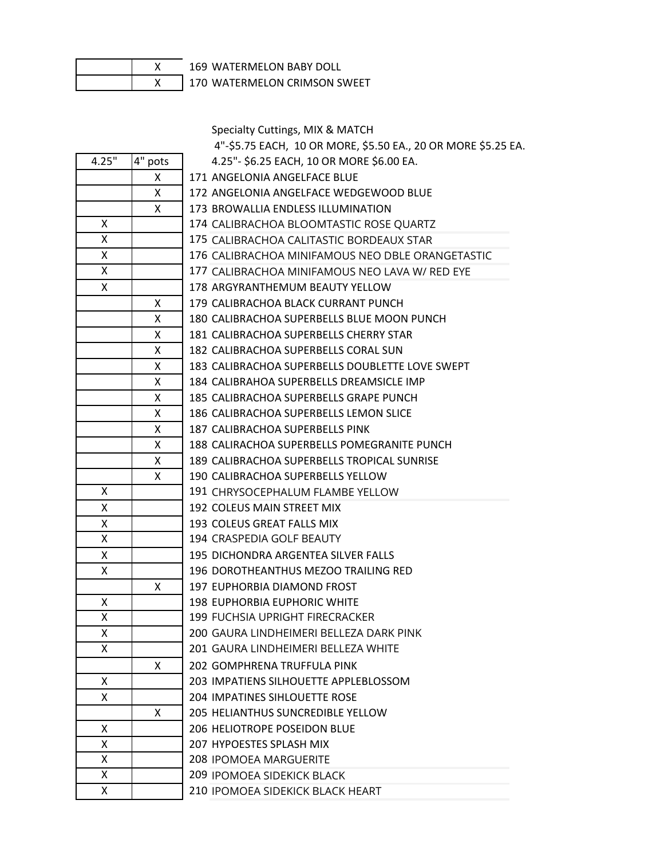169 WATERMELON BABY DOLL 170 WATERMELON CRIMSON SWEET

Specialty Cuttings, MIX & MATCH 4"-\$5.75 EACH, 10 OR MORE, \$5.50 EA., 20 OR MORE \$5.25 EA. 4.25" 4" pots 4.25"- \$6.25 EACH, 10 OR MORE \$6.00 EA. X | 171 ANGELONIA ANGELFACE BLUE X 172 ANGELONIA ANGELFACE WEDGEWOOD BLUE X | 173 BROWALLIA ENDLESS ILLUMINATION X 174 CALIBRACHOA BLOOMTASTIC ROSE QUARTZ X 175 CALIBRACHOA CALITASTIC BORDEAUX STAR X | 176 CALIBRACHOA MINIFAMOUS NEO DBLE ORANGETASTIC X 177 CALIBRACHOA MINIFAMOUS NEO LAVA W/ RED EYE X 178 ARGYRANTHEMUM BEAUTY YELLOW X | 179 CALIBRACHOA BLACK CURRANT PUNCH X | 180 CALIBRACHOA SUPERBELLS BLUE MOON PUNCH X | 181 CALIBRACHOA SUPERBELLS CHERRY STAR X | 182 CALIBRACHOA SUPERBELLS CORAL SUN X 183 CALIBRACHOA SUPERBELLS DOUBLETTE LOVE SWEPT X 184 CALIBRAHOA SUPERBELLS DREAMSICLE IMP X 185 CALIBRACHOA SUPERBELLS GRAPE PUNCH X 186 CALIBRACHOA SUPERBELLS LEMON SLICE X | 187 CALIBRACHOA SUPERBELLS PINK X | 188 CALIRACHOA SUPERBELLS POMEGRANITE PUNCH X | 189 CALIBRACHOA SUPERBELLS TROPICAL SUNRISE X | 190 CALIBRACHOA SUPERBELLS YELLOW X 191 CHRYSOCEPHALUM FLAMBE YELLOW X | 192 COLEUS MAIN STREET MIX X | 193 COLEUS GREAT FALLS MIX X | 194 CRASPEDIA GOLF BEAUTY X | 195 DICHONDRA ARGENTEA SILVER FALLS X | 196 DOROTHEANTHUS MEZOO TRAILING RED X 197 EUPHORBIA DIAMOND FROST X | 198 EUPHORBIA EUPHORIC WHITE X 199 FUCHSIA UPRIGHT FIRECRACKER X 200 GAURA LINDHEIMERI BELLEZA DARK PINK X 201 GAURA LINDHEIMERI BELLEZA WHITE X 202 GOMPHRENA TRUFFULA PINK X 203 IMPATIENS SILHOUETTE APPLEBLOSSOM X | 204 IMPATINES SIHLOUETTE ROSE X 205 HELIANTHUS SUNCREDIBLE YELLOW X 206 HELIOTROPE POSEIDON BLUE X 207 HYPOESTES SPLASH MIX X 208 IPOMOEA MARGUERITE X 209 IPOMOEA SIDEKICK BLACK X 210 IPOMOEA SIDEKICK BLACK HEART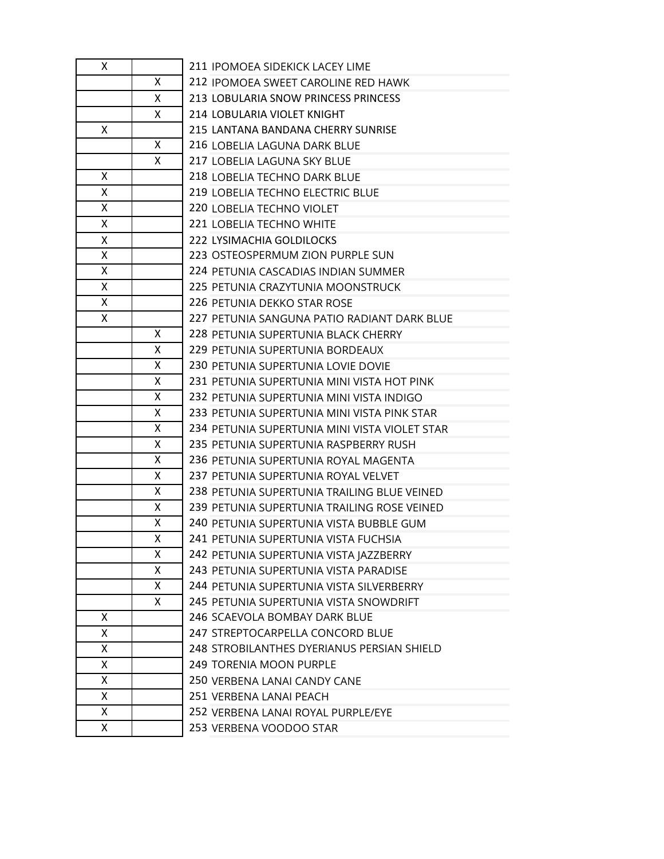| X |   | 211 IPOMOEA SIDEKICK LACEY LIME               |
|---|---|-----------------------------------------------|
|   | X | 212 IPOMOEA SWEET CAROLINE RED HAWK           |
|   | X | 213 LOBULARIA SNOW PRINCESS PRINCESS          |
|   | X | 214 LOBULARIA VIOLET KNIGHT                   |
| X |   | 215 LANTANA BANDANA CHERRY SUNRISE            |
|   | X | 216 LOBELIA LAGUNA DARK BLUE                  |
|   | X | 217 LOBELIA LAGUNA SKY BLUE                   |
| X |   | 218 LOBELIA TECHNO DARK BLUE                  |
| X |   | 219 LOBELIA TECHNO ELECTRIC BLUE              |
| X |   | 220 LOBELIA TECHNO VIOLET                     |
| X |   | 221 LOBELIA TECHNO WHITE                      |
| X |   | 222 LYSIMACHIA GOLDILOCKS                     |
| X |   | 223 OSTEOSPERMUM ZION PURPLE SUN              |
| X |   | 224 PETUNIA CASCADIAS INDIAN SUMMER           |
| X |   | 225 PETUNIA CRAZYTUNIA MOONSTRUCK             |
| X |   | 226 PETUNIA DEKKO STAR ROSE                   |
| x |   | 227 PETUNIA SANGUNA PATIO RADIANT DARK BLUE   |
|   | X | 228 PETUNIA SUPERTUNIA BLACK CHERRY           |
|   | Χ | 229 PETUNIA SUPERTUNIA BORDEAUX               |
|   | X | 230 PETUNIA SUPERTUNIA LOVIE DOVIE            |
|   | X | 231 PETUNIA SUPERTUNIA MINI VISTA HOT PINK    |
|   | X | 232 PETUNIA SUPERTUNIA MINI VISTA INDIGO      |
|   | X | 233 PETUNIA SUPERTUNIA MINI VISTA PINK STAR   |
|   | x | 234 PETUNIA SUPERTUNIA MINI VISTA VIOLET STAR |
|   | X | 235 PETUNIA SUPERTUNIA RASPBERRY RUSH         |
|   | Χ | 236 PETUNIA SUPERTUNIA ROYAL MAGENTA          |
|   | x | 237 PETUNIA SUPERTUNIA ROYAL VELVET           |
|   | X | 238 PETUNIA SUPERTUNIA TRAILING BLUE VEINED   |
|   | X | 239 PETUNIA SUPERTUNIA TRAILING ROSE VEINED   |
|   | X | 240 PETUNIA SUPERTUNIA VISTA BUBBLE GUM       |
|   | Χ | 241 PETUNIA SUPERTUNIA VISTA FUCHSIA          |
|   | X | 242 PETUNIA SUPERTUNIA VISTA JAZZBERRY        |
|   | Χ | 243 PETUNIA SUPERTUNIA VISTA PARADISE         |
|   | X | 244 PETUNIA SUPERTUNIA VISTA SILVERBERRY      |
|   | X | 245 PETUNIA SUPERTUNIA VISTA SNOWDRIFT        |
| X |   | 246 SCAEVOLA BOMBAY DARK BLUE                 |
| x |   | 247 STREPTOCARPELLA CONCORD BLUE              |
| Χ |   | 248 STROBILANTHES DYERIANUS PERSIAN SHIELD    |
| X |   | <b>249 TORENIA MOON PURPLE</b>                |
| Χ |   | 250 VERBENA LANAI CANDY CANE                  |
| X |   | 251 VERBENA LANAI PEACH                       |
| X |   | 252 VERBENA LANAI ROYAL PURPLE/EYE            |
| Χ |   | 253 VERBENA VOODOO STAR                       |
|   |   |                                               |

|                         | 211 IPOMOEA SIDEKICK LACEY LIME               |
|-------------------------|-----------------------------------------------|
| Χ                       | 212 IPOMOEA SWEET CAROLINE RED HAWK           |
| Χ                       | 213 LOBULARIA SNOW PRINCESS PRINCESS          |
| X                       | 214 LOBULARIA VIOLET KNIGHT                   |
|                         | 215 LANTANA BANDANA CHERRY SUNRISE            |
| X                       | 216 LOBELIA LAGUNA DARK BLUE                  |
| χ                       | 217 LOBELIA LAGUNA SKY BLUE                   |
|                         | 218 LOBELIA TECHNO DARK BLUE                  |
|                         | 219 LOBELIA TECHNO ELECTRIC BLUE              |
|                         | 220 LOBELIA TECHNO VIOLET                     |
|                         | 221 LOBELIA TECHNO WHITE                      |
|                         | 222 LYSIMACHIA GOLDILOCKS                     |
|                         | 223 OSTEOSPERMUM ZION PURPLE SUN              |
|                         | 224 PETUNIA CASCADIAS INDIAN SUMMER           |
|                         | 225 PETUNIA CRAZYTUNIA MOONSTRUCK             |
|                         | 226 PETUNIA DEKKO STAR ROSE                   |
|                         | 227 PETUNIA SANGUNA PATIO RADIANT DARK BLUE   |
| Χ                       | 228 PETUNIA SUPERTUNIA BLACK CHERRY           |
| $\overline{\mathsf{x}}$ | 229 PETUNIA SUPERTUNIA BORDEAUX               |
| X                       | 230 PETUNIA SUPERTUNIA LOVIE DOVIE            |
| X                       | 231 PETUNIA SUPERTUNIA MINI VISTA HOT PINK    |
| $\overline{\mathsf{x}}$ | 232 PETUNIA SUPERTUNIA MINI VISTA INDIGO      |
| X                       | 233 PETUNIA SUPERTUNIA MINI VISTA PINK STAR   |
| X                       | 234 PETUNIA SUPERTUNIA MINI VISTA VIOLET STAR |
| X                       | 235 PETUNIA SUPERTUNIA RASPBERRY RUSH         |
| X                       | 236 PETUNIA SUPERTUNIA ROYAL MAGENTA          |
| Χ                       | 237 PETUNIA SUPERTUNIA ROYAL VELVET           |
| X                       | 238 PETUNIA SUPERTUNIA TRAILING BLUE VEINED   |
| X                       | 239 PETUNIA SUPERTUNIA TRAILING ROSE VEINED   |
| Χ                       | 240 PETUNIA SUPERTUNIA VISTA BUBBLE GUM       |
| X                       | 241 PETUNIA SUPERTUNIA VISTA FUCHSIA          |
| X                       | 242 PETUNIA SUPERTUNIA VISTA JAZZBERRY        |
| X                       | 243 PETUNIA SUPERTUNIA VISTA PARADISE         |
| $\overline{\mathsf{x}}$ | 244 PETUNIA SUPERTUNIA VISTA SILVERBERRY      |
| X                       | 245 PETUNIA SUPERTUNIA VISTA SNOWDRIFT        |
|                         | 246 SCAEVOLA BOMBAY DARK BLUE                 |
|                         | 247 STREPTOCARPELLA CONCORD BLUE              |
|                         | 248 STROBILANTHES DYERIANUS PERSIAN SHIELD    |
|                         | 249 TORENIA MOON PURPLE                       |
|                         | 250 VERBENA LANAI CANDY CANE                  |
|                         | 251 VERBENA LANAI PEACH                       |
|                         | 252 VERBENA LANAI ROYAL PURPLE/EYE            |
|                         | 253 VERBENA VOODOO STAR                       |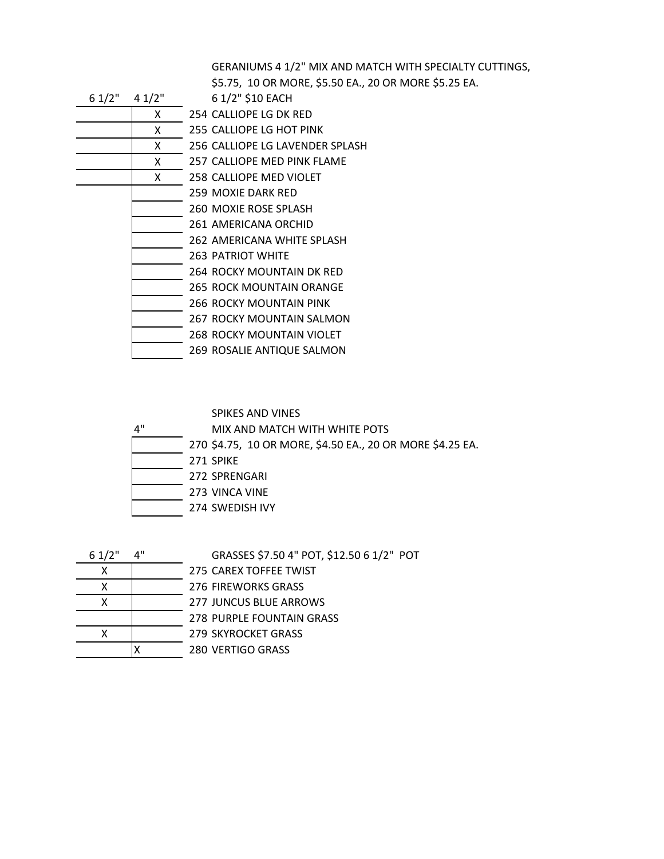GERANIUMS 4 1/2" MIX AND MATCH WITH SPECIALTY CUTTINGS,

\$5.75, 10 OR MORE, \$5.50 EA., 20 OR MORE \$5.25 EA.

- 6 1/2" 4 1/2" 6 1/2" \$10 EACH
	- X 254 CALLIOPE LG DK RED
	- X 255 CALLIOPE LG HOT PINK
	- X 256 CALLIOPE LG LAVENDER SPLASH
	- X 257 CALLIOPE MED PINK FLAME
	- X 258 CALLIOPE MED VIOLET
		- 259 MOXIE DARK RED
		- 260 MOXIE ROSE SPLASH
		- 261 AMERICANA ORCHID
		- 262 AMERICANA WHITE SPLASH
	- 263 PATRIOT WHITE
	- 264 ROCKY MOUNTAIN DK RED
	- 265 ROCK MOUNTAIN ORANGE
	- 266 ROCKY MOUNTAIN PINK
	- 267 ROCKY MOUNTAIN SALMON
		- 268 ROCKY MOUNTAIN VIOLET
			- 269 ROSALIE ANTIQUE SALMON

SPIKES AND VINES

4" MIX AND MATCH WITH WHITE POTS

270 \$4.75, 10 OR MORE, \$4.50 EA., 20 OR MORE \$4.25 EA.

271 SPIKE

- 272 SPRENGARI
- 273 VINCA VINE
	- 274 SWEDISH IVY

6 1/2" 4" GRASSES \$7.50 4" POT, \$12.50 6 1/2" POT

| X |              |
|---|--------------|
| X |              |
| X |              |
|   |              |
| Χ |              |
|   | $\mathsf{x}$ |

- 275 CAREX TOFFEE TWIST
- 276 FIREWORKS GRASS

277 JUNCUS BLUE ARROWS

- 278 PURPLE FOUNTAIN GRASS
- 279 SKYROCKET GRASS
- 280 VERTIGO GRASS